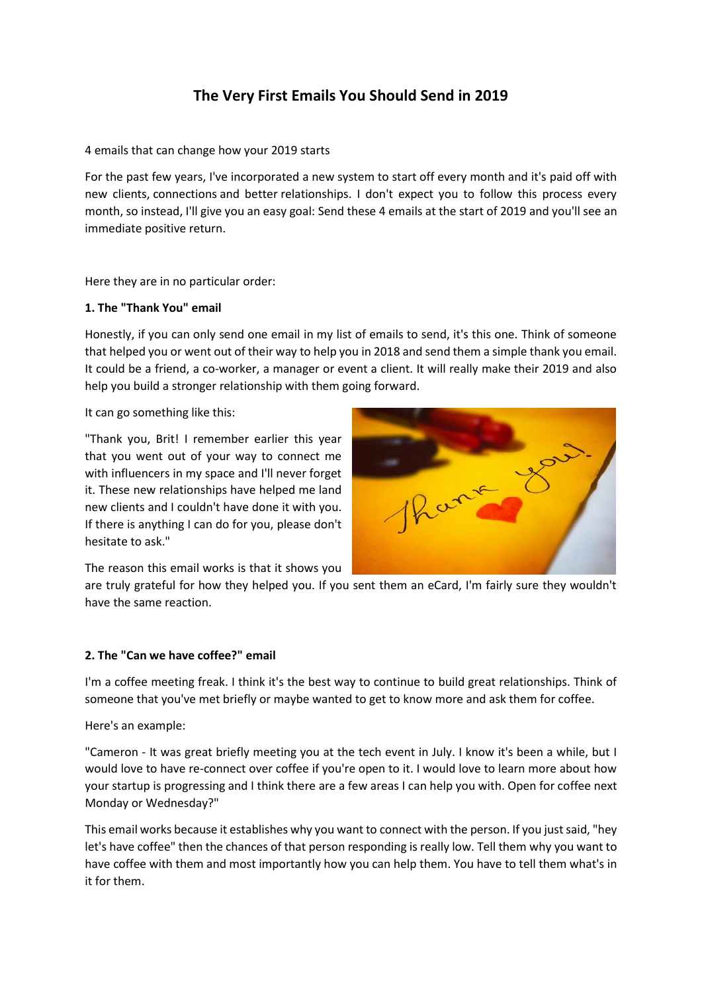# **The Very First Emails You Should Send in 2019**

4 emails that can change how your 2019 starts

For the past few years, I've incorporated a new system to start off every month and it's paid off with new clients, connections and better relationships. I don't expect you to follow this process every month, so instead, I'll give you an easy goal: Send these 4 emails at the start of 2019 and you'll see an immediate positive return.

Here they are in no particular order:

## **1. The "Thank You" email**

Honestly, if you can only send one email in my list of emails to send, it's this one. Think of someone that helped you or went out of their way to help you in 2018 and send them a simple thank you email. It could be a friend, a co-worker, a manager or event a client. It will really make their 2019 and also help you build a stronger relationship with them going forward.

It can go something like this:

"Thank you, Brit! I remember earlier this year that you went out of your way to connect me with influencers in my space and I'll never forget it. These new relationships have helped me land new clients and I couldn't have done it with you. If there is anything I can do for you, please don't hesitate to ask."



The reason this email works is that it shows you

are truly grateful for how they helped you. If you sent them an eCard, I'm fairly sure they wouldn't have the same reaction.

#### **2. The "Can we have coffee?" email**

I'm a coffee meeting freak. I think it's the best way to continue to build great relationships. Think of someone that you've met briefly or maybe wanted to get to know more and ask them for coffee.

Here's an example:

"Cameron - It was great briefly meeting you at the tech event in July. I know it's been a while, but I would love to have re-connect over coffee if you're open to it. I would love to learn more about how your startup is progressing and I think there are a few areas I can help you with. Open for coffee next Monday or Wednesday?"

This email works because it establishes why you want to connect with the person. If you just said, "hey let's have coffee" then the chances of that person responding is really low. Tell them why you want to have coffee with them and most importantly how you can help them. You have to tell them what's in it for them.